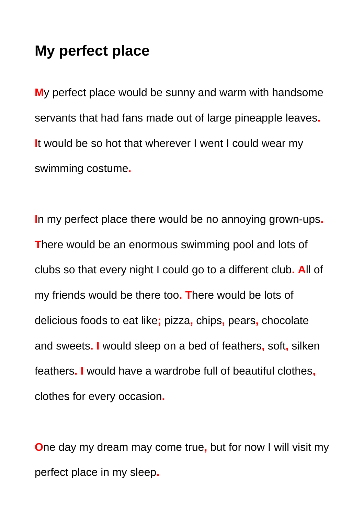## **My perfect place**

**M**y perfect place would be sunny and warm with handsome servants that had fans made out of large pineapple leaves**. I**t would be so hot that wherever I went I could wear my swimming costume**.**

**I**n my perfect place there would be no annoying grown-ups**. T**here would be an enormous swimming pool and lots of clubs so that every night I could go to a different club**. A**ll of my friends would be there too**. T**here would be lots of delicious foods to eat like**;** pizza**,** chips**,** pears**,** chocolate and sweets**. I** would sleep on a bed of feathers**,** soft**,** silken feathers**. I** would have a wardrobe full of beautiful clothes**,** clothes for every occasion**.**

**O**ne day my dream may come true**,** but for now I will visit my perfect place in my sleep**.**